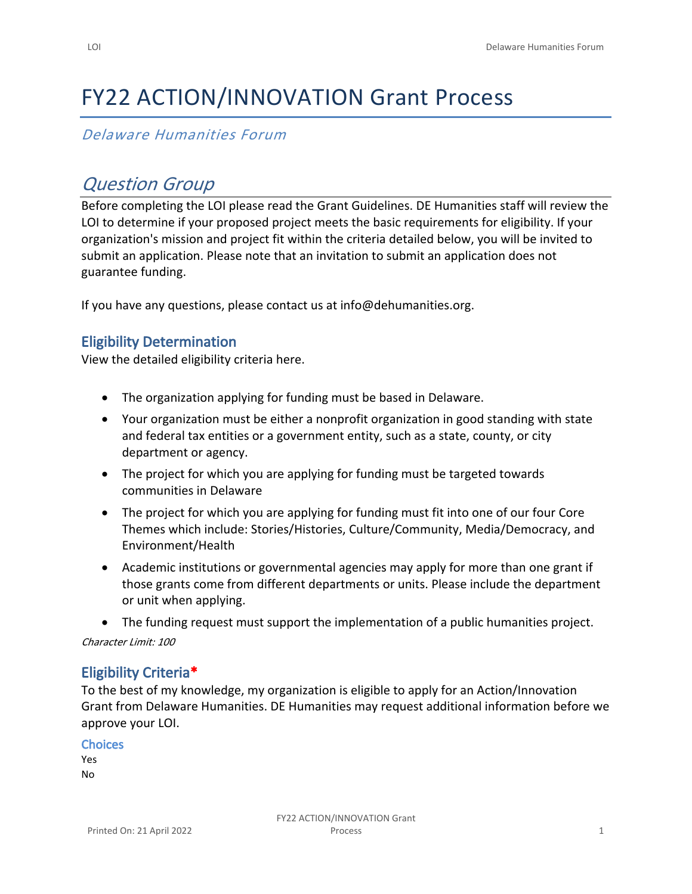# FY22 ACTION/INNOVATION Grant Process

## *Delaware Humanities Forum*

# *Question Group*

Before completing the LOI please read the Grant Guidelines. DE Humanities staff will review the LOI to determine if your proposed project meets the basic requirements for eligibility. If your organization's mission and project fit within the criteria detailed below, you will be invited to submit an application. Please note that an invitation to submit an application does not guarantee funding.

If you have any questions, please contact us at info@dehumanities.org.

#### **Eligibility Determination**

View the detailed eligibility criteria here.

- The organization applying for funding must be based in Delaware.
- Your organization must be either a nonprofit organization in good standing with state and federal tax entities or a government entity, such as a state, county, or city department or agency.
- The project for which you are applying for funding must be targeted towards communities in Delaware
- The project for which you are applying for funding must fit into one of our four Core Themes which include: Stories/Histories, Culture/Community, Media/Democracy, and Environment/Health
- Academic institutions or governmental agencies may apply for more than one grant if those grants come from different departments or units. Please include the department or unit when applying.
- The funding request must support the implementation of a public humanities project.

*Character Limit: 100*

#### **Eligibility Criteria\***

To the best of my knowledge, my organization is eligible to apply for an Action/Innovation Grant from Delaware Humanities. DE Humanities may request additional information before we approve your LOI.

| <b>Choices</b> |  |
|----------------|--|
| Yes            |  |
| No             |  |